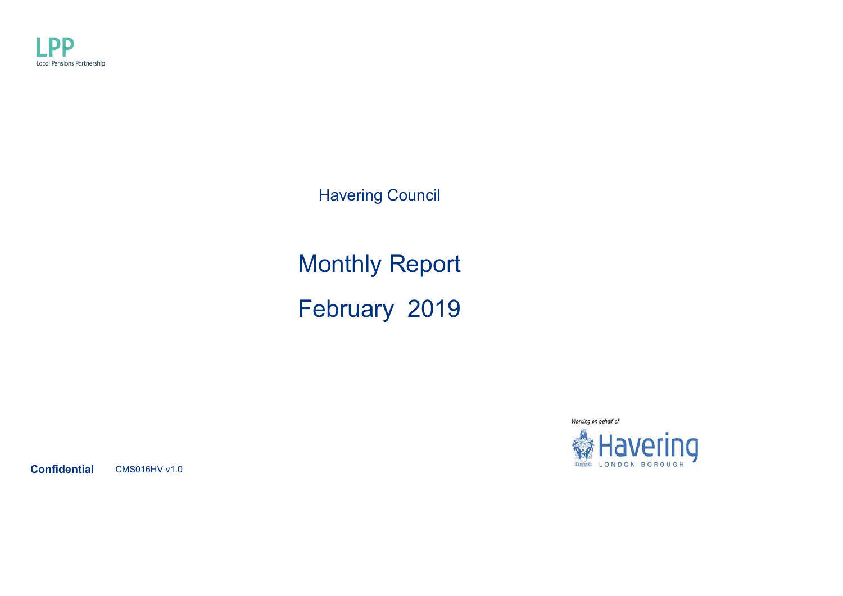

Havering Council

Monthly Report February 2019



**Confidential** CMS016HV v1.0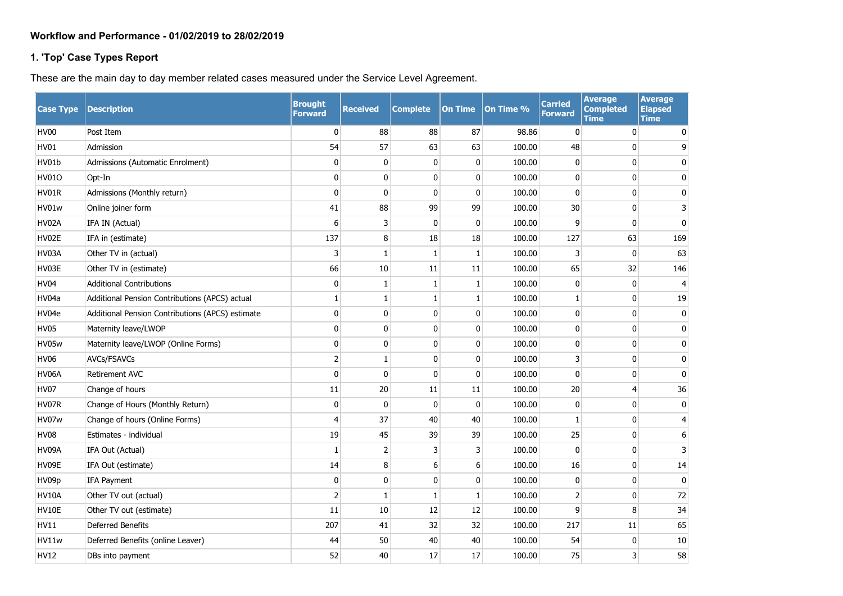# **Workflow and Performance - 01/02/2019 to 28/02/2019**

### **1. 'Top' Case Types Report**

These are the main day to day member related cases measured under the Service Level Agreement.

| <b>Case Type</b> | <b>Description</b>                               | <b>Brought</b><br><b>Forward</b> | <b>Received</b> | <b>Complete</b> | <b>On Time</b> | On Time % | <b>Carried</b><br><b>Forward</b> | <b>Average</b><br><b>Completed</b><br>Time | <b>Average</b><br><b>Elapsed</b><br><b>Time</b> |
|------------------|--------------------------------------------------|----------------------------------|-----------------|-----------------|----------------|-----------|----------------------------------|--------------------------------------------|-------------------------------------------------|
| <b>HV00</b>      | Post Item                                        | $\mathbf 0$                      | 88              | 88              | 87             | 98.86     | $\mathbf{0}$                     | 0                                          | 0                                               |
| <b>HV01</b>      | Admission                                        | 54                               | 57              | 63              | 63             | 100.00    | 48                               | 0                                          | 9                                               |
| HV01b            | Admissions (Automatic Enrolment)                 | $\mathbf 0$                      | 0               | 0               | $\mathbf 0$    | 100.00    | 0                                | 0                                          | 0                                               |
| <b>HV01O</b>     | Opt-In                                           | 0                                | 0               | $\Omega$        | 0              | 100.00    | $\mathbf{0}$                     | $\mathbf{0}$                               | 0                                               |
| HV01R            | Admissions (Monthly return)                      | $\mathbf 0$                      | $\pmb{0}$       | 0               | $\mathbf 0$    | 100.00    | 0                                | 0                                          | 0                                               |
| HV01w            | Online joiner form                               | 41                               | 88              | 99              | 99             | 100.00    | 30                               | $\mathbf 0$                                | 3                                               |
| HV02A            | IFA IN (Actual)                                  | 6                                | 3               | 0               | $\mathbf 0$    | 100.00    | 9                                | $\mathbf{0}$                               | $\mathbf 0$                                     |
| HV02E            | IFA in (estimate)                                | 137                              | 8               | 18              | 18             | 100.00    | 127                              | 63                                         | 169                                             |
| HV03A            | Other TV in (actual)                             | 3                                | 1               | $\mathbf{1}$    | $\mathbf{1}$   | 100.00    | 3                                | $\mathbf 0$                                | 63                                              |
| HV03E            | Other TV in (estimate)                           | 66                               | 10              | 11              | 11             | 100.00    | 65                               | 32                                         | 146                                             |
| <b>HV04</b>      | <b>Additional Contributions</b>                  | $\mathbf 0$                      | $\mathbf{1}$    | $\mathbf{1}$    | $\mathbf{1}$   | 100.00    | $\mathbf{0}$                     | $\mathbf 0$                                | $\overline{4}$                                  |
| HV04a            | Additional Pension Contributions (APCS) actual   | 1                                | 1               | 1               | 1              | 100.00    | 1                                | $\mathbf{0}$                               | 19                                              |
| HV04e            | Additional Pension Contributions (APCS) estimate | $\mathbf 0$                      | $\mathbf 0$     | $\mathbf{0}$    | $\mathbf 0$    | 100.00    | 0                                | $\mathbf 0$                                | 0                                               |
| <b>HV05</b>      | Maternity leave/LWOP                             | 0                                | $\mathbf 0$     | 0               | $\mathbf 0$    | 100.00    | 0                                | 0                                          | $\mathbf 0$                                     |
| HV05w            | Maternity leave/LWOP (Online Forms)              | $\pmb{0}$                        | $\pmb{0}$       | 0               | $\mathbf 0$    | 100.00    | 0                                | 0                                          | $\mathbf 0$                                     |
| <b>HV06</b>      | AVCs/FSAVCs                                      | $\overline{2}$                   | $\mathbf{1}$    | 0               | $\mathbf 0$    | 100.00    | 3                                | 0                                          | $\mathbf 0$                                     |
| HV06A            | <b>Retirement AVC</b>                            | 0                                | $\mathbf 0$     | $\mathbf{0}$    | $\mathbf 0$    | 100.00    | 0                                | 0                                          | $\mathbf 0$                                     |
| <b>HV07</b>      | Change of hours                                  | 11                               | 20              | 11              | 11             | 100.00    | $20\,$                           | 4                                          | 36                                              |
| HV07R            | Change of Hours (Monthly Return)                 | $\mathbf 0$                      | 0               | $\mathbf{0}$    | 0              | 100.00    | 0                                | 0                                          | 0                                               |
| HV07w            | Change of hours (Online Forms)                   | $\overline{4}$                   | 37              | 40              | 40             | 100.00    | 1                                | 0                                          | $\overline{4}$                                  |
| <b>HV08</b>      | Estimates - individual                           | 19                               | 45              | 39              | 39             | 100.00    | 25                               | $\mathbf 0$                                | 6                                               |
| HV09A            | IFA Out (Actual)                                 | $\mathbf{1}$                     | $\overline{2}$  | 3               | 3              | 100.00    | $\mathbf{0}$                     | $\mathbf{0}$                               | 3                                               |
| HV09E            | IFA Out (estimate)                               | 14                               | 8               | 6               | 6              | 100.00    | 16                               | 0                                          | 14                                              |
| HV09p            | IFA Payment                                      | $\mathbf 0$                      | 0               | 0               | $\mathbf 0$    | 100.00    | 0                                | 0                                          | $\mathbf 0$                                     |
| <b>HV10A</b>     | Other TV out (actual)                            | $\overline{2}$                   | 1               | 1               | $\mathbf{1}$   | 100.00    | 2                                | 0                                          | 72                                              |
| HV10E            | Other TV out (estimate)                          | 11                               | 10              | 12              | 12             | 100.00    | 9                                | 8                                          | 34                                              |
| <b>HV11</b>      | <b>Deferred Benefits</b>                         | 207                              | 41              | 32              | 32             | 100.00    | 217                              | 11                                         | 65                                              |
| HV11w            | Deferred Benefits (online Leaver)                | 44                               | 50              | 40              | 40             | 100.00    | 54                               | $\mathbf 0$                                | 10                                              |
| <b>HV12</b>      | DBs into payment                                 | 52                               | 40              | 17              | 17             | 100.00    | 75                               | 3                                          | 58                                              |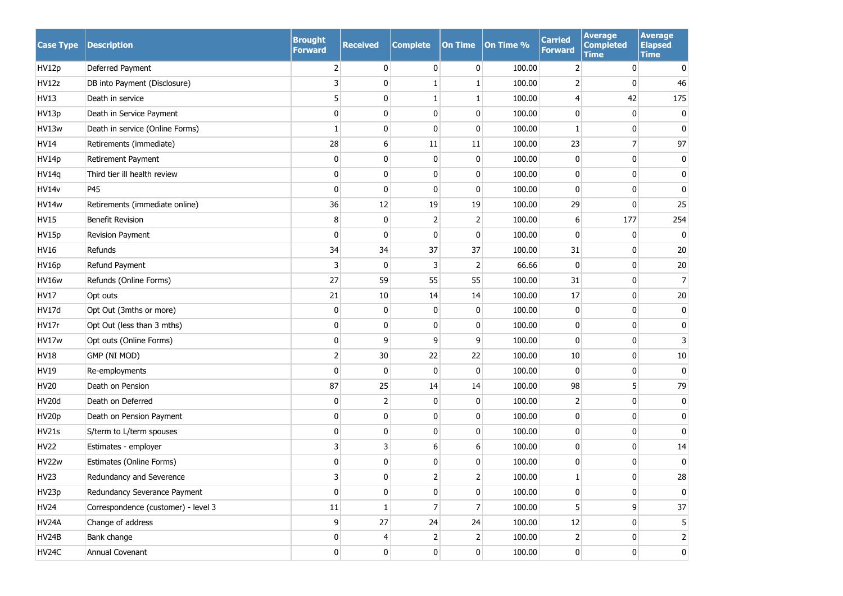| <b>Case Type</b> | <b>Description</b>                  | <b>Brought</b><br><b>Forward</b> | <b>Received</b> | <b>Complete</b> | <b>On Time</b> | On Time % | <b>Carried</b><br><b>Forward</b> | <b>Average</b><br><b>Completed</b><br><b>Time</b> | <b>Average</b><br><b>Elapsed</b><br><b>Time</b> |
|------------------|-------------------------------------|----------------------------------|-----------------|-----------------|----------------|-----------|----------------------------------|---------------------------------------------------|-------------------------------------------------|
| HV12p            | Deferred Payment                    | 2                                | 0               | $\mathbf{0}$    | 0              | 100.00    | 2                                | 0                                                 | 0                                               |
| HV12z            | DB into Payment (Disclosure)        | 3                                | $\mathbf{0}$    |                 | 1              | 100.00    | 2                                | 0                                                 | 46                                              |
| HV13             | Death in service                    | 5                                | 0               | 1               | 1              | 100.00    | 4                                | 42                                                | 175                                             |
| HV13p            | Death in Service Payment            | 0                                | 0               | 0               | $\bf{0}$       | 100.00    | 0                                | 0                                                 | 0                                               |
| HV13w            | Death in service (Online Forms)     | 1                                | 0               | 0               | $\mathbf 0$    | 100.00    | 1                                | 0                                                 | 0                                               |
| <b>HV14</b>      | Retirements (immediate)             | 28                               | 6               | 11              | 11             | 100.00    | 23                               | 7                                                 | 97                                              |
| HV14p            | Retirement Payment                  | 0                                | 0               | 0               | $\mathbf{0}$   | 100.00    | 0                                | 0                                                 | 0                                               |
| HV14q            | Third tier ill health review        | 0                                | 0               | 0               | $\bf{0}$       | 100.00    | 0                                | 0                                                 | 0                                               |
| <b>HV14v</b>     | P45                                 | $\mathbf 0$                      | 0               | 0               | $\mathbf{0}$   | 100.00    | 0                                | 0                                                 | $\mathbf 0$                                     |
| HV14w            | Retirements (immediate online)      | 36                               | 12              | 19              | 19             | 100.00    | 29                               | 0                                                 | 25                                              |
| <b>HV15</b>      | <b>Benefit Revision</b>             | 8                                | 0               | 2               | 2              | 100.00    | 6                                | 177                                               | 254                                             |
| HV15p            | Revision Payment                    | 0                                | $\mathbf{0}$    | 0               | $\mathbf 0$    | 100.00    | 0                                | 0                                                 | 0                                               |
| HV16             | Refunds                             | 34                               | 34              | 37              | 37             | 100.00    | 31                               | 0                                                 | 20                                              |
| HV16p            | Refund Payment                      | 3                                | $\mathbf{0}$    | 3               | 2              | 66.66     | $\mathbf{0}$                     | 0                                                 | $20\,$                                          |
| HV16w            | Refunds (Online Forms)              | 27                               | 59              | 55              | 55             | 100.00    | 31                               | 0                                                 | $\overline{7}$                                  |
| <b>HV17</b>      | Opt outs                            | 21                               | 10              | 14              | 14             | 100.00    | 17                               | 0                                                 | 20                                              |
| <b>HV17d</b>     | Opt Out (3mths or more)             | 0                                | 0               | 0               | $\bf{0}$       | 100.00    | 0                                | 0                                                 | 0                                               |
| HV17r            | Opt Out (less than 3 mths)          | 0                                | 0               | 0               | $\bf{0}$       | 100.00    | 0                                | 0                                                 | 0                                               |
| HV17w            | Opt outs (Online Forms)             | $\pmb{0}$                        | 9               | 9               | 9              | 100.00    | 0                                | 0                                                 | 3                                               |
| <b>HV18</b>      | GMP (NI MOD)                        | $\mathbf 2$                      | 30              | 22              | 22             | 100.00    | 10                               | 0                                                 | 10                                              |
| <b>HV19</b>      | Re-employments                      | $\mathbf 0$                      | 0               | 0               | 0              | 100.00    | 0                                | 0                                                 | $\mathbf 0$                                     |
| <b>HV20</b>      | Death on Pension                    | 87                               | 25              | 14              | 14             | 100.00    | 98                               | 5                                                 | 79                                              |
| <b>HV20d</b>     | Death on Deferred                   | $\pmb{0}$                        | 2               | 0               | 0              | 100.00    | 2                                | 0                                                 | $\bf{0}$                                        |
| HV20p            | Death on Pension Payment            | 0                                | 0               | 0               | 0              | 100.00    | 0                                | 0                                                 | 0                                               |
| HV21s            | S/term to L/term spouses            | 0                                | 0               | 0               | 0              | 100.00    | 0                                | 0                                                 | $\mathbf{0}$                                    |
| <b>HV22</b>      | Estimates - employer                | 3                                | 3               | 6               | 6              | 100.00    | 0                                | 0                                                 | 14                                              |
| HV22w            | Estimates (Online Forms)            | 0                                | 0               | 0               | $\mathbf 0$    | 100.00    | 0                                | 0                                                 | 0                                               |
| HV23             | Redundancy and Severence            | 3 <sup>1</sup>                   | 0               | $\mathcal{D}$   | 2              | 100.00    | 1                                | 0                                                 | 28                                              |
| HV23p            | Redundancy Severance Payment        | $\mathbf{0}$                     | 0               | $\mathbf{0}$    | 0              | 100.00    | 0                                | 0                                                 | 0                                               |
| <b>HV24</b>      | Correspondence (customer) - level 3 | 11                               | 1               | 7               | $\overline{7}$ | 100.00    | 5                                | 9                                                 | 37                                              |
| HV24A            | Change of address                   | 9                                | 27              | 24              | 24             | 100.00    | 12                               | 0                                                 | 5                                               |
| HV24B            | Bank change                         | $\mathbf 0$                      | 4               | $\overline{2}$  | 2              | 100.00    | $\overline{2}$                   | 0                                                 | 2                                               |
| HV24C            | Annual Covenant                     | $\mathbf 0$                      | $\mathbf{0}$    | $\overline{0}$  | 0              | 100.00    | $\overline{0}$                   | 0                                                 | $\bf{0}$                                        |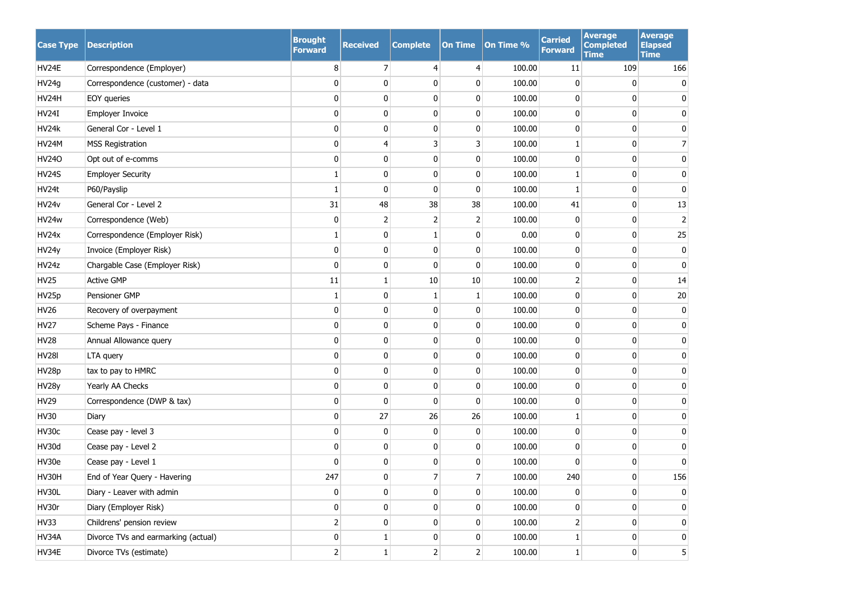| <b>Case Type</b> | <b>Description</b>                  | <b>Brought</b><br><b>Forward</b> | <b>Received</b> | <b>Complete</b> | <b>On Time</b> | On Time % | <b>Carried</b><br><b>Forward</b> | <b>Average</b><br><b>Completed</b><br><b>Time</b> | <b>Average</b><br><b>Elapsed</b><br><b>Time</b> |
|------------------|-------------------------------------|----------------------------------|-----------------|-----------------|----------------|-----------|----------------------------------|---------------------------------------------------|-------------------------------------------------|
| HV24E            | Correspondence (Employer)           | 8                                | $\overline{7}$  | 4               | $\overline{4}$ | 100.00    | 11                               | 109                                               | 166                                             |
| HV24g            | Correspondence (customer) - data    | 0                                | 0               | 0               | 0              | 100.00    | 0                                | 0                                                 | 0                                               |
| HV24H            | EOY queries                         | 0                                | 0               | $\mathbf{0}$    | 0              | 100.00    | 0                                | 0                                                 | 0                                               |
| <b>HV24I</b>     | Employer Invoice                    | 0                                | 0               | 0               | $\mathbf 0$    | 100.00    | 0                                | 0                                                 | 0                                               |
| HV24k            | General Cor - Level 1               | 0                                | 0               | $\mathbf{0}$    | 0              | 100.00    | 0                                | 0                                                 | 0                                               |
| HV24M            | <b>MSS Registration</b>             | 0                                | $\overline{4}$  | 3               | 3              | 100.00    | 1                                | 0                                                 | $\overline{7}$                                  |
| <b>HV240</b>     | Opt out of e-comms                  | 0                                | 0               | 0               | $\mathbf 0$    | 100.00    | 0                                | 0                                                 | 0                                               |
| <b>HV24S</b>     | <b>Employer Security</b>            | 1                                | $\mathbf{0}$    | 0               | $\mathbf 0$    | 100.00    | 1                                | 0                                                 | 0                                               |
| HV24t            | P60/Payslip                         | $\mathbf{1}$                     | $\mathbf{0}$    | 0               | $\mathbf 0$    | 100.00    | 1                                | 0                                                 | 0                                               |
| HV24v            | General Cor - Level 2               | 31                               | 48              | 38              | 38             | 100.00    | 41                               | 0                                                 | 13                                              |
| HV24w            | Correspondence (Web)                | $\mathbf 0$                      | $\overline{2}$  | 2               | 2              | 100.00    | 0                                | 0                                                 | $\overline{2}$                                  |
| HV24x            | Correspondence (Employer Risk)      | 1                                | 0               | 1               | 0              | 0.00      | 0                                | 0                                                 | 25                                              |
| HV24y            | Invoice (Employer Risk)             | 0                                | $\mathbf 0$     | 0               | 0              | 100.00    | 0                                | 0                                                 | 0                                               |
| HV24z            | Chargable Case (Employer Risk)      | 0                                | 0               | $\mathbf{0}$    | $\mathbf{0}$   | 100.00    | 0                                | 0                                                 | 0                                               |
| <b>HV25</b>      | <b>Active GMP</b>                   | $11\,$                           | $\mathbf{1}$    | 10              | 10             | 100.00    | $\overline{2}$                   | 0                                                 | 14                                              |
| HV25p            | Pensioner GMP                       | $\mathbf{1}$                     | 0               | 1               | 1              | 100.00    | 0                                | 0                                                 | 20                                              |
| <b>HV26</b>      | Recovery of overpayment             | 0                                | $\pmb{0}$       | 0               | $\bf{0}$       | 100.00    | 0                                | 0                                                 | 0                                               |
| <b>HV27</b>      | Scheme Pays - Finance               | 0                                | $\pmb{0}$       | $\mathbf{0}$    | $\mathbf 0$    | 100.00    | 0                                | 0                                                 | $\mathbf 0$                                     |
| <b>HV28</b>      | Annual Allowance query              | $\pmb{0}$                        | $\pmb{0}$       | 0               | $\bf{0}$       | 100.00    | 0                                | 0                                                 | 0                                               |
| <b>HV28I</b>     | LTA query                           | 0                                | $\pmb{0}$       | $\Omega$        | $\mathbf 0$    | 100.00    | 0                                | 0                                                 | $\mathbf 0$                                     |
| HV28p            | tax to pay to HMRC                  | 0                                | $\pmb{0}$       | 0               | $\mathbf 0$    | 100.00    | 0                                | 0                                                 | 0                                               |
| HV28y            | Yearly AA Checks                    | 0                                | $\mathbf{0}$    | $\mathbf{0}$    | 0              | 100.00    | 0                                | 0                                                 | $\mathbf 0$                                     |
| <b>HV29</b>      | Correspondence (DWP & tax)          | 0                                | $\mathbf 0$     | $\mathbf{0}$    | $\mathbf 0$    | 100.00    | 0                                | 0                                                 | 0                                               |
| <b>HV30</b>      | Diary                               | 0                                | 27              | 26              | 26             | 100.00    | 1                                | 0                                                 | 0                                               |
| HV30c            | Cease pay - level 3                 | 0                                | 0               | 0               | 0              | 100.00    | 0                                | 0                                                 | 0                                               |
| HV30d            | Cease pay - Level 2                 | 0                                | 0               | $\mathbf{0}$    | 0              | 100.00    | 0                                | 0                                                 | 0                                               |
| HV30e            | Cease pay - Level 1                 | 0                                | $\bf{0}$        | 0               | 0              | 100.00    | 0                                | 0                                                 | 0                                               |
| HV30H            | End of Year Query - Havering        | 247                              | $\Omega$        | 7               | 7              | 100.00    | 240                              | 0                                                 | 156                                             |
| HV30L            | Diary - Leaver with admin           | 0                                | $\mathbf 0$     | 0               | 0              | 100.00    | 0                                | 0                                                 | 0                                               |
| HV30r            | Diary (Employer Risk)               | 0                                | $\mathbf 0$     | 0               | $\mathbf 0$    | 100.00    | 0                                | 0                                                 | 0                                               |
| <b>HV33</b>      | Childrens' pension review           | 2                                | $\mathbf 0$     | 0               | 0              | 100.00    | $\overline{2}$                   | 0                                                 | $\mathbf{0}$                                    |
| HV34A            | Divorce TVs and earmarking (actual) | 0                                | 1               | 0               | 0              | 100.00    | $\mathbf{1}$                     | 0                                                 | $\mathbf 0$                                     |
| HV34E            | Divorce TVs (estimate)              | $\mathsf{2}$                     | $\,1$           | $\overline{2}$  | $\overline{2}$ | 100.00    | $\mathbf{1}$                     | 0                                                 | 5 <sup>5</sup>                                  |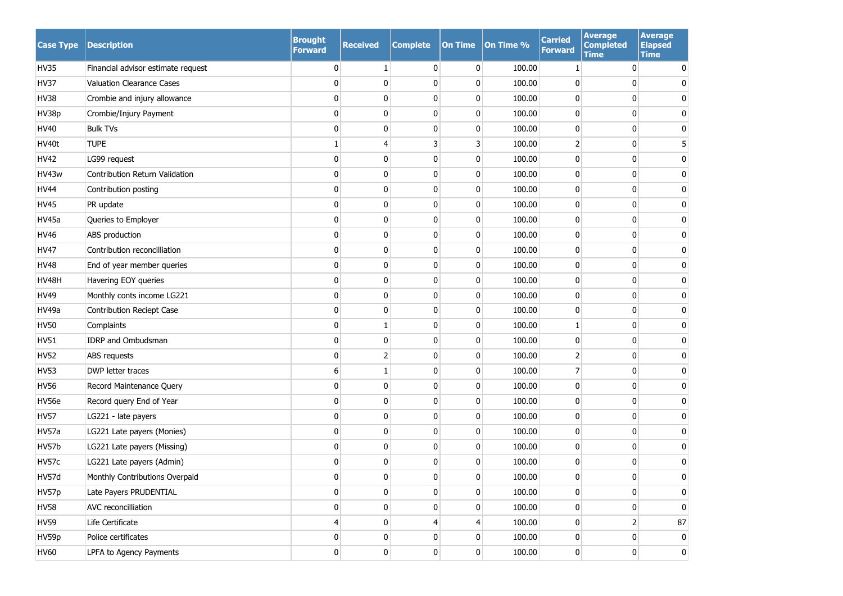| <b>Case Type</b> | <b>Description</b>                 | <b>Brought</b><br><b>Forward</b> | <b>Received</b> | <b>Complete</b> | <b>On Time</b> | On Time % | <b>Carried</b><br>Forward | <b>Average</b><br><b>Completed</b><br><b>Time</b> | <b>Average</b><br><b>Elapsed</b><br><b>Time</b> |
|------------------|------------------------------------|----------------------------------|-----------------|-----------------|----------------|-----------|---------------------------|---------------------------------------------------|-------------------------------------------------|
| <b>HV35</b>      | Financial advisor estimate request | 0                                | 1               | $\mathbf{0}$    | 0              | 100.00    | 1                         | 0                                                 | $\mathbf{0}$                                    |
| <b>HV37</b>      | Valuation Clearance Cases          | 0                                | $\mathbf 0$     | 0               | 0              | 100.00    | 0                         | 0                                                 | 0                                               |
| <b>HV38</b>      | Crombie and injury allowance       | 0                                | $\mathbf 0$     | 0               | $\mathbf 0$    | 100.00    | 0                         | 0                                                 | 0                                               |
| HV38p            | Crombie/Injury Payment             | 0                                | 0               | 0               | $\mathbf 0$    | 100.00    | 0                         | 0                                                 | 0                                               |
| HV40             | <b>Bulk TVs</b>                    | $\mathbf{0}$                     | $\mathbf{0}$    | 0               | $\mathbf 0$    | 100.00    | 0                         | 0                                                 | 0                                               |
| HV40t            | <b>TUPE</b>                        | 1                                | $\overline{4}$  | 3               | 3              | 100.00    | $\overline{2}$            | 0                                                 | 5                                               |
| <b>HV42</b>      | LG99 request                       | 0                                | $\mathbf{0}$    | 0               | 0              | 100.00    | 0                         | 0                                                 | $\mathbf 0$                                     |
| HV43w            | Contribution Return Validation     | 0                                | 0               | 0               | 0              | 100.00    | 0                         | 0                                                 | 0                                               |
| <b>HV44</b>      | Contribution posting               | $\mathbf{0}$                     | $\mathbf 0$     | 0               | 0              | 100.00    | 0                         | 0                                                 | 0                                               |
| <b>HV45</b>      | PR update                          | 0                                | 0               | 0               | 0              | 100.00    | 0                         | 0                                                 | 0                                               |
| <b>HV45a</b>     | Queries to Employer                | 0                                | $\mathbf 0$     | 0               | 0              | 100.00    | 0                         | 0                                                 | 0                                               |
| <b>HV46</b>      | ABS production                     | 0                                | 0               | $\mathbf{0}$    | $\mathbf 0$    | 100.00    | 0                         | 0                                                 | 0                                               |
| <b>HV47</b>      | Contribution reconcilliation       | 0                                | $\pmb{0}$       | 0               | $\mathbf 0$    | 100.00    | 0                         | 0                                                 | 0                                               |
| <b>HV48</b>      | End of year member queries         | 0                                | 0               | $\mathbf{0}$    | $\mathbf 0$    | 100.00    | 0                         | 0                                                 | 0                                               |
| HV48H            | Havering EOY queries               | 0                                | $\pmb{0}$       | 0               | $\mathbf 0$    | 100.00    | 0                         | 0                                                 | 0                                               |
| <b>HV49</b>      | Monthly conts income LG221         | 0                                | $\pmb{0}$       | $\mathbf{0}$    | $\mathbf 0$    | 100.00    | 0                         | 0                                                 | $\mathbf 0$                                     |
| HV49a            | Contribution Reciept Case          | 0                                | $\pmb{0}$       | 0               | $\mathbf 0$    | 100.00    | 0                         | 0                                                 | 0                                               |
| <b>HV50</b>      | Complaints                         | 0                                | 1               | $\mathbf{0}$    | 0              | 100.00    | 1                         | 0                                                 | $\mathbf 0$                                     |
| <b>HV51</b>      | IDRP and Ombudsman                 | 0                                | $\pmb{0}$       | 0               | $\mathbf 0$    | 100.00    | 0                         | 0                                                 | 0                                               |
| <b>HV52</b>      | ABS requests                       | 0                                | $\overline{2}$  | $\mathbf{0}$    | 0              | 100.00    | 2                         | 0                                                 | 0                                               |
| <b>HV53</b>      | DWP letter traces                  | 6                                | 1               | 0               | 0              | 100.00    | 7                         | 0                                                 | 0                                               |
| <b>HV56</b>      | Record Maintenance Query           | 0                                | 0               | $\mathbf{0}$    | 0              | 100.00    | 0                         | 0                                                 | 0                                               |
| HV56e            | Record query End of Year           | 0                                | 0               | 0               | 0              | 100.00    | 0                         | 0                                                 | 0                                               |
| <b>HV57</b>      | LG221 - late payers                | 0                                | 0               | 0               | 0              | 100.00    | 0                         | 0                                                 | 0                                               |
| HV57a            | LG221 Late payers (Monies)         | 0                                | 0               | 0               | $\mathbf 0$    | 100.00    | 0                         | 0                                                 | 0                                               |
| HV57b            | LG221 Late payers (Missing)        | 0                                | $\mathbf 0$     | 0               | 0              | 100.00    | 0                         | 0                                                 | 0                                               |
| HV57c            | LG221 Late payers (Admin)          | 0                                | 0               | 0               | 0              | 100.00    | 0                         | 0                                                 | 0                                               |
| HV57d            | Monthly Contributions Overpaid     | 0                                | 0               | 0               | $\pmb{0}$      | 100.00    | 0                         | 0                                                 | <sup>n</sup>                                    |
| HV57p            | Late Payers PRUDENTIAL             | 0                                | $\mathbf 0$     | $\mathbf{0}$    | 0              | 100.00    | 0                         | 0                                                 | 0                                               |
| <b>HV58</b>      | AVC reconcilliation                | 0                                | $\mathbf 0$     | 0               | $\mathbf 0$    | 100.00    | 0                         | 0                                                 | 0                                               |
| <b>HV59</b>      | Life Certificate                   | 4                                | $\mathbf{0}$    | 4               | $\overline{4}$ | 100.00    | $\overline{0}$            | 2                                                 | 87                                              |
| HV59p            | Police certificates                | 0                                | $\mathbf 0$     | 0               | 0              | 100.00    | 0                         | 0                                                 | $\overline{0}$                                  |
| <b>HV60</b>      | LPFA to Agency Payments            | $\boldsymbol{0}$                 | $\pmb{0}$       | $\mathbf{0}$    | $\pmb{0}$      | 100.00    | $\mathbf{0}$              | 0                                                 | $\overline{0}$                                  |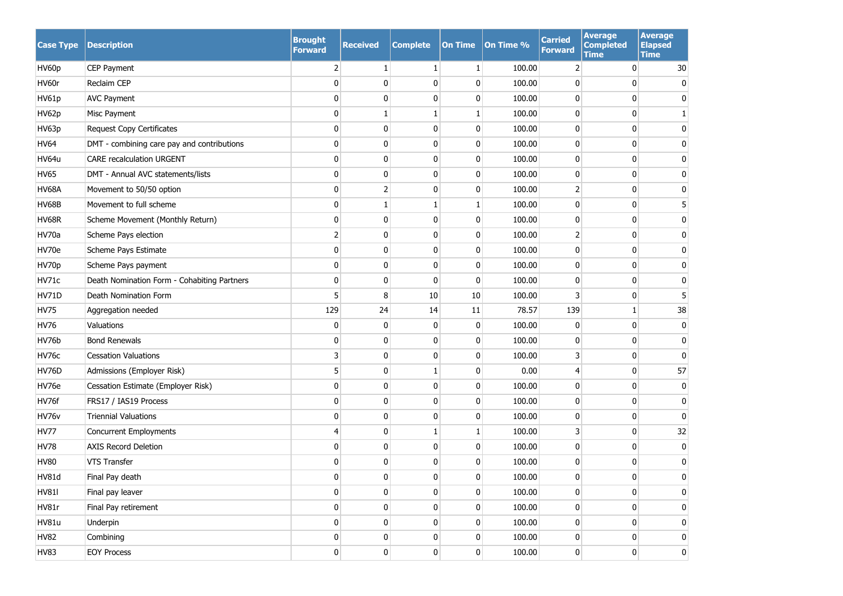| <b>Case Type</b> | <b>Description</b>                          | <b>Brought</b><br><b>Forward</b> | <b>Received</b> | <b>Complete</b> | <b>On Time</b> | On Time % | <b>Carried</b><br><b>Forward</b> | <b>Average</b><br><b>Completed</b><br><b>Time</b> | <b>Average</b><br><b>Elapsed</b><br><b>Time</b> |
|------------------|---------------------------------------------|----------------------------------|-----------------|-----------------|----------------|-----------|----------------------------------|---------------------------------------------------|-------------------------------------------------|
| HV60p            | CEP Payment                                 | 2                                | 1               | $\mathbf{1}$    | 1              | 100.00    | 2                                | 0                                                 | 30                                              |
| HV60r            | Reclaim CEP                                 | 0                                | 0               | $\mathbf{0}$    | 0              | 100.00    | 0                                | 0                                                 | 0                                               |
| HV61p            | <b>AVC Payment</b>                          | 0                                | 0               | $\mathbf{0}$    | 0              | 100.00    | 0                                | 0                                                 | $\mathbf{0}$                                    |
| HV62p            | Misc Payment                                | $\mathbf 0$                      | 1               | 1               | 1              | 100.00    | 0                                | 0                                                 |                                                 |
| HV63p            | <b>Request Copy Certificates</b>            | 0                                | 0               | $\mathbf{0}$    | 0              | 100.00    | 0                                | 0                                                 | 0                                               |
| <b>HV64</b>      | DMT - combining care pay and contributions  | 0                                | 0               | $\mathbf{0}$    | $\mathbf 0$    | 100.00    | 0                                | 0                                                 | 0                                               |
| HV64u            | <b>CARE recalculation URGENT</b>            | 0                                | 0               | $\mathbf{0}$    | $\mathbf 0$    | 100.00    | 0                                | 0                                                 | $\mathbf{0}$                                    |
| <b>HV65</b>      | DMT - Annual AVC statements/lists           | 0                                | 0               | 0               | $\mathbf 0$    | 100.00    | 0                                | 0                                                 | 0                                               |
| <b>HV68A</b>     | Movement to 50/50 option                    | 0                                | $\overline{2}$  | $\mathbf{0}$    | $\mathbf 0$    | 100.00    | $\overline{2}$                   | 0                                                 | 0                                               |
| <b>HV68B</b>     | Movement to full scheme                     | 0                                | $\mathbf{1}$    | 1               | 1              | 100.00    | 0                                | 0                                                 |                                                 |
| <b>HV68R</b>     | Scheme Movement (Monthly Return)            | 0                                | $\mathbf 0$     | $\mathbf{0}$    | $\mathbf 0$    | 100.00    | 0                                | 0                                                 | 0                                               |
| HV70a            | Scheme Pays election                        | $\overline{2}$                   | 0               | $\mathbf{0}$    | 0              | 100.00    | 2                                | 0                                                 | $\mathbf{0}$                                    |
| HV70e            | Scheme Pays Estimate                        | 0                                | 0               | $\mathbf{0}$    | 0              | 100.00    | $\mathbf{0}$                     | 0                                                 | O                                               |
| HV70p            | Scheme Pays payment                         | 0                                | 0               | $\mathbf{0}$    | 0              | 100.00    | 0                                | 0                                                 | $\mathbf{0}$                                    |
| HV71c            | Death Nomination Form - Cohabiting Partners | 0                                | 0               | $\mathbf{0}$    | $\mathbf 0$    | 100.00    | 0                                | 0                                                 | 0                                               |
| <b>HV71D</b>     | Death Nomination Form                       | 5                                | 8               | 10              | $10\,$         | 100.00    | 3                                | 0                                                 | 5                                               |
| <b>HV75</b>      | Aggregation needed                          | 129                              | 24              | 14              | 11             | 78.57     | 139                              | $\mathbf{1}$                                      | 38                                              |
| <b>HV76</b>      | Valuations                                  | 0                                | 0               | $\mathbf{0}$    | 0              | 100.00    | $\mathbf 0$                      | 0                                                 | 0                                               |
| HV76b            | <b>Bond Renewals</b>                        | 0                                | 0               | 0               | 0              | 100.00    | 0                                | 0                                                 | 0                                               |
| HV76c            | <b>Cessation Valuations</b>                 | 3                                | 0               | 0               | $\bf{0}$       | 100.00    | 3                                | 0                                                 | 0                                               |
| <b>HV76D</b>     | Admissions (Employer Risk)                  | 5                                | 0               |                 | 0              | 0.00      | 4                                | 0                                                 | 57                                              |
| HV76e            | Cessation Estimate (Employer Risk)          | 0                                | 0               | $\mathbf{0}$    | 0              | 100.00    | 0                                | 0                                                 | 0                                               |
| HV76f            | FRS17 / IAS19 Process                       | $\pmb{0}$                        | 0               | 0               | 0              | 100.00    | 0                                | 0                                                 | 0                                               |
| HV76v            | <b>Triennial Valuations</b>                 | 0                                | 0               | 0               | 0              | 100.00    | 0                                | 0                                                 | 0                                               |
| <b>HV77</b>      | <b>Concurrent Employments</b>               | 4                                | 0               | 1               | 1              | 100.00    | 3                                | 0                                                 | 32                                              |
| <b>HV78</b>      | <b>AXIS Record Deletion</b>                 | 0                                | 0               | $\mathbf{0}$    | 0              | 100.00    | 0                                | 0                                                 | 0                                               |
| <b>HV80</b>      | <b>VTS Transfer</b>                         | 0                                | 0               | 0               | 0              | 100.00    | 0                                | 0                                                 | 0                                               |
| HV81d            | Final Pay death                             | U                                | 0               | $\Omega$        | 0              | 100.00    | 0                                | 0                                                 | $\Omega$                                        |
| <b>HV81I</b>     | Final pay leaver                            | $\mathbf{0}$                     | $\mathbf 0$     | $\overline{0}$  | $\mathbf 0$    | 100.00    | 0                                | 0                                                 | 0                                               |
| HV81r            | Final Pay retirement                        | $\mathbf{0}$                     | $\mathbf 0$     | $\overline{0}$  | 0              | 100.00    | 0                                | 0                                                 | 0                                               |
| <b>HV81u</b>     | Underpin                                    | $\mathbf{0}$                     | $\mathbf 0$     | $\overline{0}$  | 0              | 100.00    | 0                                | 0                                                 | 0                                               |
| <b>HV82</b>      | Combining                                   | $\mathbf{0}$                     | $\mathbf 0$     | $\overline{0}$  | 0              | 100.00    | 0                                | 0                                                 | 0                                               |
| <b>HV83</b>      | <b>EOY Process</b>                          | $\pmb{0}$                        | $\pmb{0}$       | $\mathbf{0}$    | 0              | 100.00    | $\mathbf{0}$                     | 0                                                 | $\pmb{0}$                                       |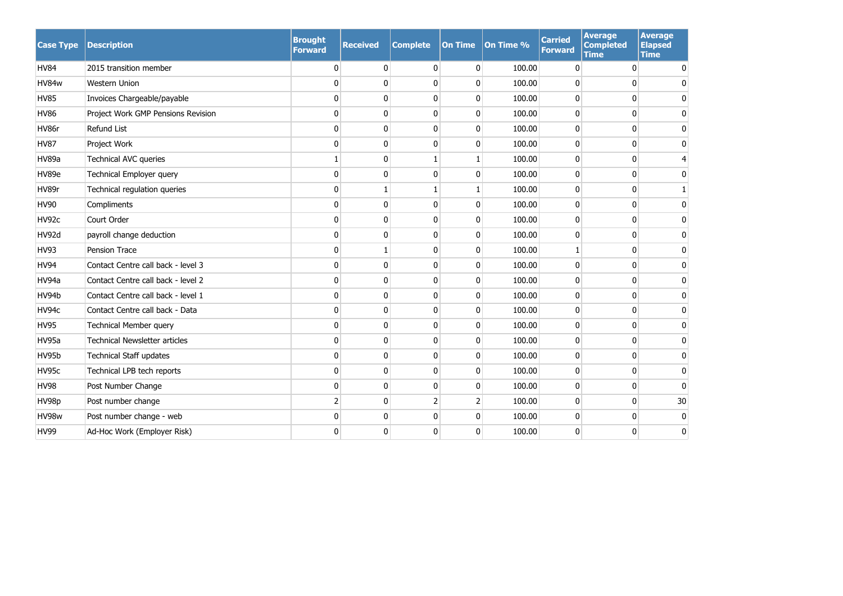| <b>Case Type</b> | <b>Description</b>                   | <b>Brought</b><br><b>Forward</b> | <b>Received</b> | <b>Complete</b> | <b>On Time</b> | On Time % | <b>Carried</b><br><b>Forward</b> | Average<br><b>Completed</b><br><b>Time</b> | Average<br><b>Elapsed</b><br><b>Time</b> |
|------------------|--------------------------------------|----------------------------------|-----------------|-----------------|----------------|-----------|----------------------------------|--------------------------------------------|------------------------------------------|
| <b>HV84</b>      | 2015 transition member               | 0                                | $\mathbf 0$     | $\mathbf{0}$    | 0              | 100.00    | 0                                | $\mathbf{0}$                               | $\mathbf{0}$                             |
| HV84w            | <b>Western Union</b>                 | 0                                | 0               | $\Omega$        | 0              | 100.00    | 0                                | 0                                          | 0                                        |
| <b>HV85</b>      | Invoices Chargeable/payable          | $\mathbf{0}$                     | $\mathbf{0}$    | $\Omega$        | 0              | 100.00    | $\mathbf{0}$                     | $\Omega$                                   | 0                                        |
| <b>HV86</b>      | Project Work GMP Pensions Revision   | 0                                | $\mathbf 0$     | $\mathbf{0}$    | $\mathbf{0}$   | 100.00    | 0                                | $\mathbf{0}$                               | 0                                        |
| HV86r            | Refund List                          | 0                                | $\mathbf 0$     | $\Omega$        | $\mathbf{0}$   | 100.00    | 0                                | $\mathbf{0}$                               | 0                                        |
| <b>HV87</b>      | Project Work                         | 0                                | 0               | $\Omega$        | $\mathbf{0}$   | 100.00    | 0                                | 0                                          | 0                                        |
| <b>HV89a</b>     | <b>Technical AVC queries</b>         | 1                                | 0               |                 | 1              | 100.00    | $\mathbf{0}$                     | $\Omega$                                   | 4                                        |
| HV89e            | Technical Employer query             | 0                                | $\mathbf 0$     | 0               | 0              | 100.00    | 0                                | $\mathbf 0$                                | 0                                        |
| HV89r            | Technical regulation queries         | 0                                | 1               |                 | 1              | 100.00    | $\pmb{0}$                        | $\mathbf{0}$                               | $\mathbf{1}$                             |
| <b>HV90</b>      | Compliments                          | 0                                | $\pmb{0}$       | $\Omega$        | $\mathbf{0}$   | 100.00    | $\pmb{0}$                        | 0                                          | 0                                        |
| HV92c            | Court Order                          | $\mathbf{0}$                     | $\mathbf{0}$    | $\Omega$        | $\Omega$       | 100.00    | $\mathbf{0}$                     | $\Omega$                                   | $\Omega$                                 |
| HV92d            | payroll change deduction             | 0                                | 0               | $\Omega$        | 0              | 100.00    | $\mathbf 0$                      | $\mathbf{0}$                               | 0                                        |
| <b>HV93</b>      | <b>Pension Trace</b>                 | 0                                | $\mathbf{1}$    | $\Omega$        | $\mathbf{0}$   | 100.00    | $\mathbf{1}$                     | $\Omega$                                   | 0                                        |
| <b>HV94</b>      | Contact Centre call back - level 3   | 0                                | $\mathbf 0$     | $\Omega$        | $\mathbf{0}$   | 100.00    | $\pmb{0}$                        | 0                                          | 0                                        |
| HV94a            | Contact Centre call back - level 2   | 0                                | 0               | $\Omega$        | 0              | 100.00    | $\pmb{0}$                        | 0                                          | 0                                        |
| HV94b            | Contact Centre call back - level 1   | 0                                | $\mathbf 0$     | 0               | 0              | 100.00    | 0                                | $\mathbf{0}$                               | 0                                        |
| HV94c            | Contact Centre call back - Data      | 0                                | $\mathbf 0$     | $\Omega$        | 0              | 100.00    | 0                                | $\mathbf{0}$                               | 0                                        |
| <b>HV95</b>      | Technical Member query               | 0                                | $\mathbf 0$     | 0               | 0              | 100.00    | 0                                | 0                                          | 0                                        |
| HV95a            | <b>Technical Newsletter articles</b> | 0                                | 0               | 0               | 0              | 100.00    | $\mathbf 0$                      | $\mathbf{0}$                               | $\Omega$                                 |
| HV95b            | <b>Technical Staff updates</b>       | 0                                | $\mathbf 0$     | 0               | 0              | 100.00    | 0                                | $\mathbf 0$                                | 0                                        |
| HV95c            | Technical LPB tech reports           | 0                                | $\bf{0}$        | 0               | 0              | 100.00    | 0                                | $\mathbf 0$                                | 0                                        |
| <b>HV98</b>      | Post Number Change                   | 0                                | 0               | 0               | $\mathbf{0}$   | 100.00    | 0                                | 0                                          | $\mathbf{0}$                             |
| HV98p            | Post number change                   | $\overline{2}$                   | 0               | 2               | $\overline{2}$ | 100.00    | 0                                | 0                                          | 30                                       |
| HV98w            | Post number change - web             | 0                                | 0               | $\mathbf 0$     | 0              | 100.00    | $\mathbf 0$                      | $\mathbf{0}$                               | $\mathbf 0$                              |
| <b>HV99</b>      | Ad-Hoc Work (Employer Risk)          | $\mathbf 0$                      | 0               | $\mathbf{0}$    | $\Omega$       | 100.00    | $\mathbf 0$                      | $\Omega$                                   | 0                                        |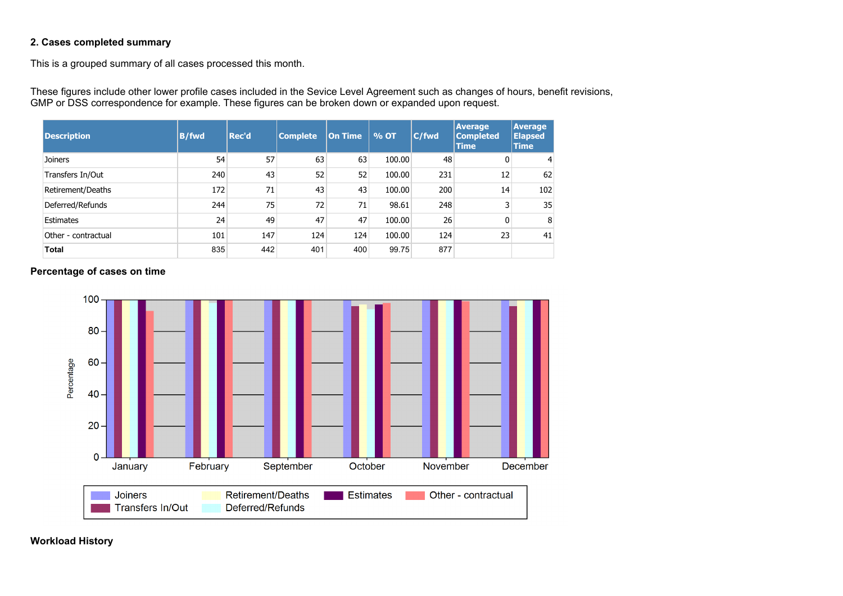### **2. Cases completed summary**

This is a grouped summary of all cases processed this month.

These figures include other lower profile cases included in the Sevice Level Agreement such as changes of hours, benefit revisions, GMP or DSS correspondence for example. These figures can be broken down or expanded upon request.

| <b>Description</b>  | <b>B/fwd</b> | Rec'd | <b>Complete</b> | <b>On Time</b> | % OT   | C/fwd | <b>Average</b><br><b>Completed</b><br><b>Time</b> | <b>Average</b><br><b>Elapsed</b><br><b>Time</b> |
|---------------------|--------------|-------|-----------------|----------------|--------|-------|---------------------------------------------------|-------------------------------------------------|
| Joiners             | 54           | 57    | 63              | 63             | 100.00 | 48    | $\overline{0}$                                    | 4                                               |
| Transfers In/Out    | 240          | 43    | 52              | 52             | 100.00 | 231   | 12                                                | 62                                              |
| Retirement/Deaths   | 172          | 71    | 43              | 43             | 100.00 | 200   | 14                                                | 102                                             |
| Deferred/Refunds    | 244          | 75    | 72              | 71             | 98.61  | 248   | 3                                                 | 35                                              |
| Estimates           | 24           | 49    | 47              | 47             | 100.00 | 26    | $\overline{0}$                                    | 8                                               |
| Other - contractual | 101          | 147   | 124             | 124            | 100.00 | 124   | 23                                                | 41                                              |
| <b>Total</b>        | 835          | 442   | 401             | 400            | 99.75  | 877   |                                                   |                                                 |

#### **Percentage of cases on time**



**Workload History**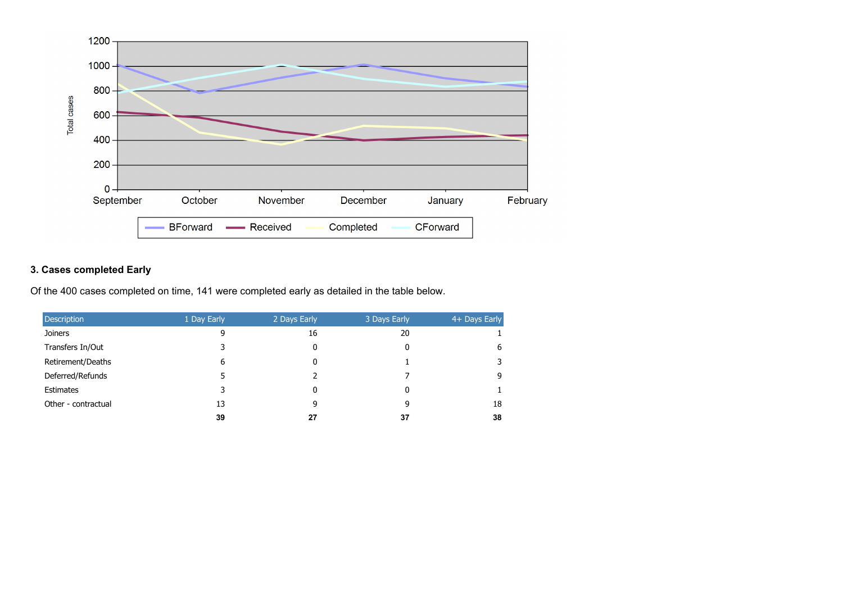

#### **3. Cases completed Early**

Of the 400 cases completed on time, 141 were completed early as detailed in the table below.

| <b>Description</b>  | 1 Day Early | 2 Days Early | 3 Days Early | 4+ Days Early |
|---------------------|-------------|--------------|--------------|---------------|
| <b>Joiners</b>      | 9           | 16           | 20           |               |
| Transfers In/Out    |             | 0            | 0            | 6             |
| Retirement/Deaths   | 6           | 0            |              |               |
| Deferred/Refunds    |             |              |              | q             |
| <b>Estimates</b>    |             | 0            | 0            |               |
| Other - contractual | 13          | 9            | 9            | 18            |
|                     | 39          | 27           | 37           | 38            |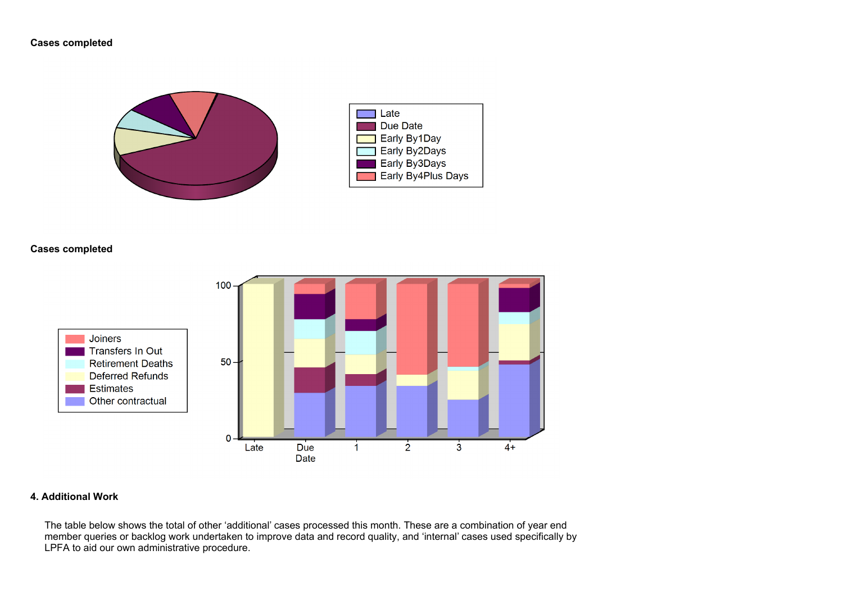#### **Cases completed**





### **Cases completed**



#### **4. Additional Work**

The table below shows the total of other 'additional' cases processed this month. These are a combination of year end member queries or backlog work undertaken to improve data and record quality, and 'internal' cases used specifically by LPFA to aid our own administrative procedure.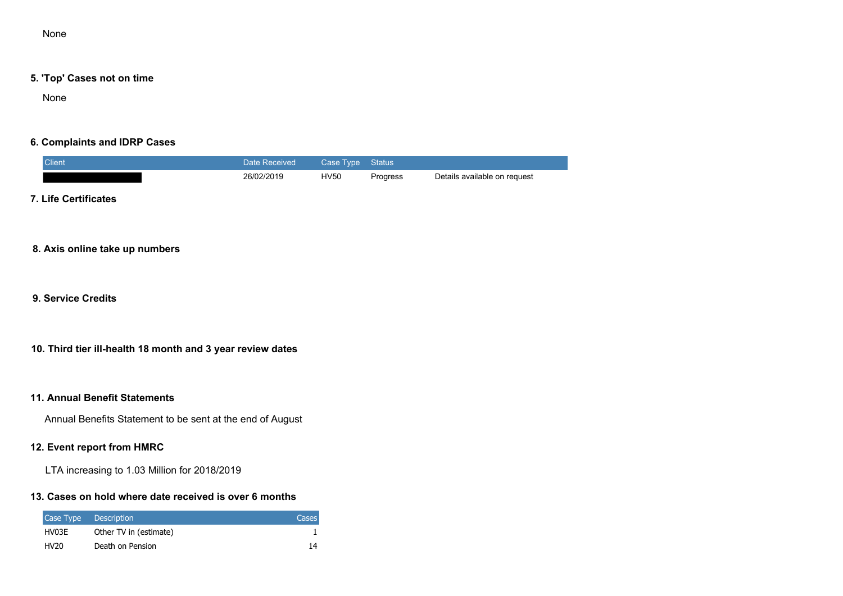None

#### **5. 'Top' Cases not on time**

None

#### **6. Complaints and IDRP Cases**

| <b>Client</b> | Date Received | Case Type Status |          |                              |
|---------------|---------------|------------------|----------|------------------------------|
|               | 26/02/2019    | <b>HV50</b>      | Progress | Details available on request |

### **7. Life Certificates**

#### **8. Axis online take up numbers**

**9. Service Credits**

### **10. Third tier ill-health 18 month and 3 year review dates**

#### **11. Annual Benefit Statements**

Annual Benefits Statement to be sent at the end of August

#### **12. Event report from HMRC**

LTA increasing to 1.03 Million for 2018/2019

#### **13. Cases on hold where date received is over 6 months**

|                  | Case Type Description  | Cases |
|------------------|------------------------|-------|
| HV03E            | Other TV in (estimate) |       |
| HV <sub>20</sub> | Death on Pension       | 14    |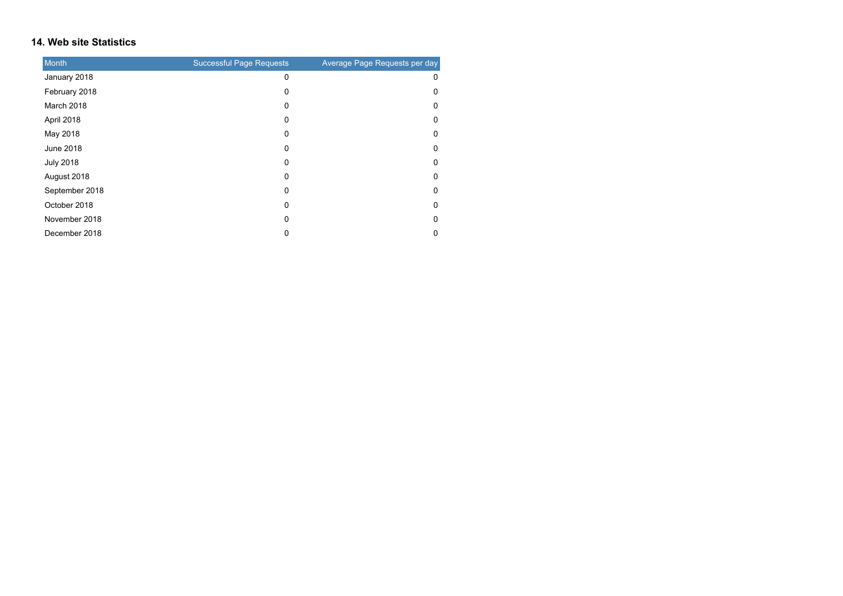#### **14. Web site Statistics**

| <b>Month</b>     | <b>Successful Page Requests</b> | Average Page Requests per day |
|------------------|---------------------------------|-------------------------------|
| January 2018     | 0                               | 0                             |
| February 2018    | 0                               | 0                             |
| March 2018       | 0                               | 0                             |
| April 2018       | 0                               | 0                             |
| May 2018         | 0                               | 0                             |
| June 2018        | 0                               | 0                             |
| <b>July 2018</b> | 0                               | 0                             |
| August 2018      | 0                               | 0                             |
| September 2018   | 0                               | 0                             |
| October 2018     | 0                               | 0                             |
| November 2018    | 0                               | 0                             |
| December 2018    | 0                               | 0                             |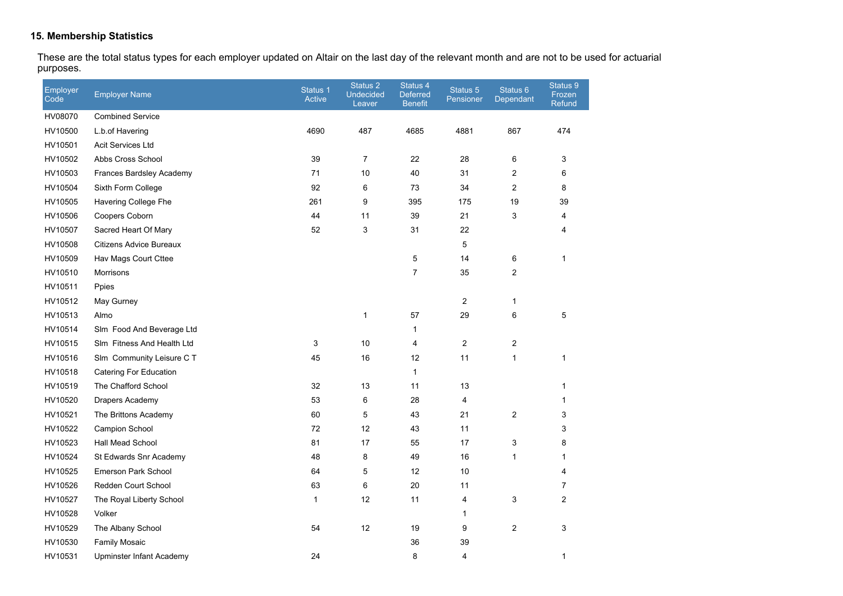#### **15. Membership Statistics**

These are the total status types for each employer updated on Altair on the last day of the relevant month and are not to be used for actuarial purposes.

| Employer<br>Code | <b>Employer Name</b>       | Status 1<br>Active | Status 2<br><b>Undecided</b><br>Leaver | Status 4<br><b>Deferred</b><br><b>Benefit</b> | Status 5<br>Pensioner | Status 6<br>Dependant | Status 9<br>Frozen<br><b>Refund</b> |
|------------------|----------------------------|--------------------|----------------------------------------|-----------------------------------------------|-----------------------|-----------------------|-------------------------------------|
| HV08070          | <b>Combined Service</b>    |                    |                                        |                                               |                       |                       |                                     |
| HV10500          | L.b.of Havering            | 4690               | 487                                    | 4685                                          | 4881                  | 867                   | 474                                 |
| HV10501          | Acit Services Ltd          |                    |                                        |                                               |                       |                       |                                     |
| HV10502          | Abbs Cross School          | 39                 | $\overline{7}$                         | 22                                            | 28                    | 6                     | 3                                   |
| HV10503          | Frances Bardsley Academy   | 71                 | 10                                     | 40                                            | 31                    | 2                     | 6                                   |
| HV10504          | Sixth Form College         | 92                 | 6                                      | 73                                            | 34                    | 2                     | 8                                   |
| HV10505          | Havering College Fhe       | 261                | 9                                      | 395                                           | 175                   | 19                    | 39                                  |
| HV10506          | Coopers Coborn             | 44                 | 11                                     | 39                                            | 21                    | 3                     | 4                                   |
| HV10507          | Sacred Heart Of Mary       | 52                 | 3                                      | 31                                            | 22                    |                       | 4                                   |
| HV10508          | Citizens Advice Bureaux    |                    |                                        |                                               | 5                     |                       |                                     |
| HV10509          | Hav Mags Court Cttee       |                    |                                        | 5                                             | 14                    | 6                     | $\mathbf{1}$                        |
| HV10510          | Morrisons                  |                    |                                        | $\overline{7}$                                | 35                    | 2                     |                                     |
| HV10511          | Ppies                      |                    |                                        |                                               |                       |                       |                                     |
| HV10512          | May Gurney                 |                    |                                        |                                               | $\overline{c}$        | 1                     |                                     |
| HV10513          | Almo                       |                    | $\mathbf{1}$                           | 57                                            | 29                    | 6                     | 5                                   |
| HV10514          | Slm Food And Beverage Ltd  |                    |                                        | $\mathbf{1}$                                  |                       |                       |                                     |
| HV10515          | Slm Fitness And Health Ltd | 3                  | 10                                     | 4                                             | $\overline{2}$        | 2                     |                                     |
| HV10516          | Slm Community Leisure C T  | 45                 | 16                                     | 12                                            | 11                    | 1                     | 1                                   |
| HV10518          | Catering For Education     |                    |                                        | $\mathbf{1}$                                  |                       |                       |                                     |
| HV10519          | The Chafford School        | 32                 | 13                                     | 11                                            | 13                    |                       | $\mathbf{1}$                        |
| HV10520          | Drapers Academy            | 53                 | 6                                      | 28                                            | 4                     |                       | 1                                   |
| HV10521          | The Brittons Academy       | 60                 | 5                                      | 43                                            | 21                    | 2                     | 3                                   |
| HV10522          | <b>Campion School</b>      | 72                 | 12                                     | 43                                            | 11                    |                       | 3                                   |
| HV10523          | Hall Mead School           | 81                 | 17                                     | 55                                            | 17                    | 3                     | 8                                   |
| HV10524          | St Edwards Snr Academy     | 48                 | 8                                      | 49                                            | 16                    | 1                     | 1                                   |
| HV10525          | <b>Emerson Park School</b> | 64                 | 5                                      | 12                                            | 10                    |                       | 4                                   |
| HV10526          | Redden Court School        | 63                 | 6                                      | 20                                            | 11                    |                       | 7                                   |
| HV10527          | The Royal Liberty School   | $\mathbf{1}$       | 12                                     | 11                                            | 4                     | 3                     | $\overline{c}$                      |
| HV10528          | Volker                     |                    |                                        |                                               | 1                     |                       |                                     |
| HV10529          | The Albany School          | 54                 | 12                                     | 19                                            | 9                     | $\overline{c}$        | 3                                   |
| HV10530          | <b>Family Mosaic</b>       |                    |                                        | 36                                            | 39                    |                       |                                     |
| HV10531          | Upminster Infant Academy   | 24                 |                                        | 8                                             | 4                     |                       | $\mathbf 1$                         |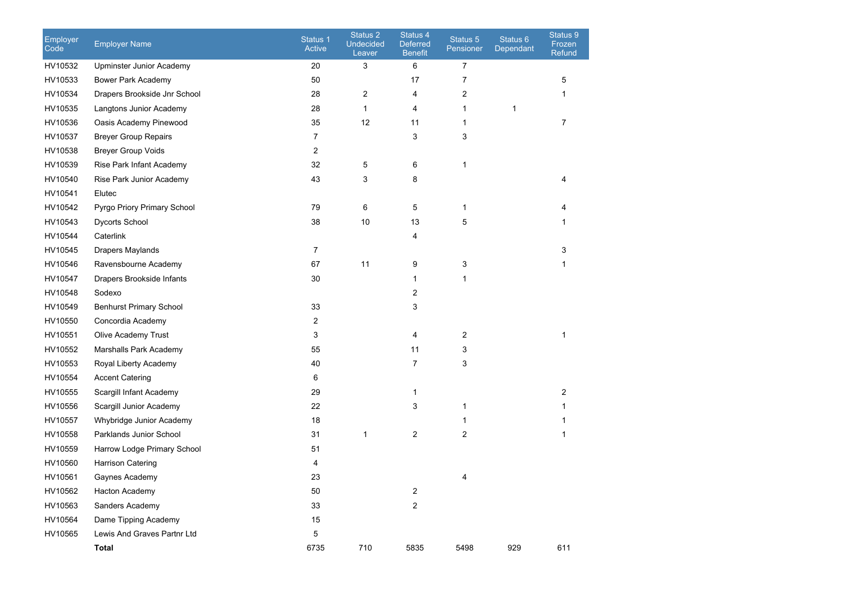| Employer<br>Code | <b>Employer Name</b>           | Status <sub>1</sub><br>Active | Status 2<br><b>Undecided</b><br>Leaver | Status 4<br>Deferred<br><b>Benefit</b> | Status 5<br>Pensioner | Status 6<br>Dependant | Status 9<br>Frozen<br>Refund |
|------------------|--------------------------------|-------------------------------|----------------------------------------|----------------------------------------|-----------------------|-----------------------|------------------------------|
| HV10532          | Upminster Junior Academy       | 20                            | 3                                      | 6                                      | 7                     |                       |                              |
| HV10533          | Bower Park Academy             | 50                            |                                        | 17                                     | 7                     |                       | 5                            |
| HV10534          | Drapers Brookside Jnr School   | 28                            | 2                                      | 4                                      | 2                     |                       | 1                            |
| HV10535          | Langtons Junior Academy        | 28                            | $\mathbf{1}$                           | 4                                      | 1                     | 1                     |                              |
| HV10536          | Oasis Academy Pinewood         | 35                            | 12                                     | 11                                     | 1                     |                       | 7                            |
| HV10537          | <b>Breyer Group Repairs</b>    | 7                             |                                        | 3                                      | 3                     |                       |                              |
| HV10538          | <b>Breyer Group Voids</b>      | 2                             |                                        |                                        |                       |                       |                              |
| HV10539          | Rise Park Infant Academy       | 32                            | 5                                      | 6                                      | 1                     |                       |                              |
| HV10540          | Rise Park Junior Academy       | 43                            | 3                                      | 8                                      |                       |                       | 4                            |
| HV10541          | Elutec                         |                               |                                        |                                        |                       |                       |                              |
| HV10542          | Pyrgo Priory Primary School    | 79                            | 6                                      | 5                                      | 1                     |                       |                              |
| HV10543          | Dycorts School                 | 38                            | 10                                     | 13                                     | 5                     |                       |                              |
| HV10544          | Caterlink                      |                               |                                        | 4                                      |                       |                       |                              |
| HV10545          | Drapers Maylands               | 7                             |                                        |                                        |                       |                       | 3                            |
| HV10546          | Ravensbourne Academy           | 67                            | 11                                     | 9                                      | 3                     |                       | 1                            |
| HV10547          | Drapers Brookside Infants      | 30                            |                                        | 1                                      | 1                     |                       |                              |
| HV10548          | Sodexo                         |                               |                                        | 2                                      |                       |                       |                              |
| HV10549          | <b>Benhurst Primary School</b> | 33                            |                                        | 3                                      |                       |                       |                              |
| HV10550          | Concordia Academy              | 2                             |                                        |                                        |                       |                       |                              |
| HV10551          | Olive Academy Trust            | 3                             |                                        | 4                                      | $\overline{c}$        |                       | 1                            |
| HV10552          | Marshalls Park Academy         | 55                            |                                        | 11                                     | 3                     |                       |                              |
| HV10553          | Royal Liberty Academy          | 40                            |                                        | 7                                      | 3                     |                       |                              |
| HV10554          | <b>Accent Catering</b>         | 6                             |                                        |                                        |                       |                       |                              |
| HV10555          | Scargill Infant Academy        | 29                            |                                        | 1                                      |                       |                       | 2                            |
| HV10556          | Scargill Junior Academy        | 22                            |                                        | 3                                      | 1                     |                       |                              |
| HV10557          | Whybridge Junior Academy       | 18                            |                                        |                                        | 1                     |                       |                              |
| HV10558          | Parklands Junior School        | 31                            | 1                                      | 2                                      | 2                     |                       | 1                            |
| HV10559          | Harrow Lodge Primary School    | 51                            |                                        |                                        |                       |                       |                              |
| HV10560          | Harrison Catering              | 4                             |                                        |                                        |                       |                       |                              |
| HV10561          | Gaynes Academy                 | 23                            |                                        |                                        |                       |                       |                              |
| HV10562          | Hacton Academy                 | 50                            |                                        | 2                                      |                       |                       |                              |
| HV10563          | Sanders Academy                | 33                            |                                        | $\overline{2}$                         |                       |                       |                              |
| HV10564          | Dame Tipping Academy           | 15                            |                                        |                                        |                       |                       |                              |
| HV10565          | Lewis And Graves Partnr Ltd    | 5                             |                                        |                                        |                       |                       |                              |
|                  | <b>Total</b>                   | 6735                          | 710                                    | 5835                                   | 5498                  | 929                   | 611                          |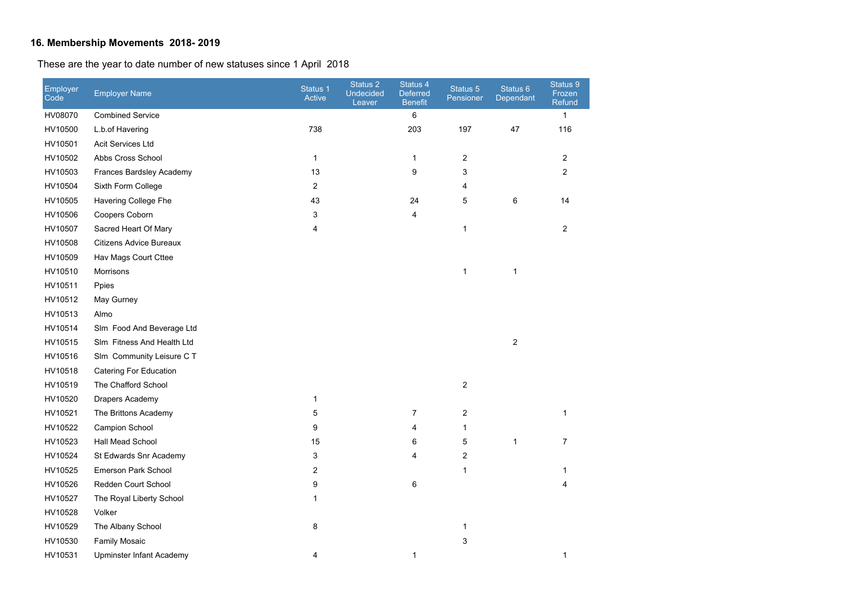# **16. Membership Movements 2018- 2019**

These are the year to date number of new statuses since 1 April 2018

| Employer<br>Code | <b>Employer Name</b>           | Status 1<br>Active      | Status 2<br><b>Undecided</b><br>Leaver | Status 4<br><b>Deferred</b><br><b>Benefit</b> | Status 5<br>Pensioner | Status 6<br>Dependant | Status 9<br>Frozen<br>Refund |
|------------------|--------------------------------|-------------------------|----------------------------------------|-----------------------------------------------|-----------------------|-----------------------|------------------------------|
| HV08070          | <b>Combined Service</b>        |                         |                                        | 6                                             |                       |                       | $\mathbf{1}$                 |
| HV10500          | L.b.of Havering                | 738                     |                                        | 203                                           | 197                   | 47                    | 116                          |
| HV10501          | <b>Acit Services Ltd</b>       |                         |                                        |                                               |                       |                       |                              |
| HV10502          | Abbs Cross School              | 1                       |                                        | $\mathbf{1}$                                  | 2                     |                       | $\overline{2}$               |
| HV10503          | Frances Bardsley Academy       | 13                      |                                        | 9                                             | 3                     |                       | $\overline{2}$               |
| HV10504          | Sixth Form College             | $\overline{\mathbf{c}}$ |                                        |                                               | 4                     |                       |                              |
| HV10505          | Havering College Fhe           | 43                      |                                        | 24                                            | 5                     | 6                     | 14                           |
| HV10506          | Coopers Coborn                 | 3                       |                                        | 4                                             |                       |                       |                              |
| HV10507          | Sacred Heart Of Mary           | 4                       |                                        |                                               | $\mathbf{1}$          |                       | $\overline{2}$               |
| HV10508          | <b>Citizens Advice Bureaux</b> |                         |                                        |                                               |                       |                       |                              |
| HV10509          | Hav Mags Court Cttee           |                         |                                        |                                               |                       |                       |                              |
| HV10510          | Morrisons                      |                         |                                        |                                               | 1                     | 1                     |                              |
| HV10511          | Ppies                          |                         |                                        |                                               |                       |                       |                              |
| HV10512          | May Gurney                     |                         |                                        |                                               |                       |                       |                              |
| HV10513          | Almo                           |                         |                                        |                                               |                       |                       |                              |
| HV10514          | Slm Food And Beverage Ltd      |                         |                                        |                                               |                       |                       |                              |
| HV10515          | Slm Fitness And Health Ltd     |                         |                                        |                                               |                       | $\boldsymbol{2}$      |                              |
| HV10516          | Slm Community Leisure C T      |                         |                                        |                                               |                       |                       |                              |
| HV10518          | Catering For Education         |                         |                                        |                                               |                       |                       |                              |
| HV10519          | The Chafford School            |                         |                                        |                                               | $\overline{2}$        |                       |                              |
| HV10520          | Drapers Academy                | $\mathbf{1}$            |                                        |                                               |                       |                       |                              |
| HV10521          | The Brittons Academy           | 5                       |                                        | $\overline{7}$                                | 2                     |                       | 1                            |
| HV10522          | Campion School                 | 9                       |                                        | 4                                             | $\mathbf{1}$          |                       |                              |
| HV10523          | Hall Mead School               | 15                      |                                        | 6                                             | 5                     | $\mathbf{1}$          | 7                            |
| HV10524          | St Edwards Snr Academy         | 3                       |                                        | 4                                             | 2                     |                       |                              |
| HV10525          | <b>Emerson Park School</b>     | $\overline{c}$          |                                        |                                               | $\mathbf{1}$          |                       | 1                            |
| HV10526          | Redden Court School            | 9                       |                                        | 6                                             |                       |                       | 4                            |
| HV10527          | The Royal Liberty School       | $\mathbf{1}$            |                                        |                                               |                       |                       |                              |
| HV10528          | Volker                         |                         |                                        |                                               |                       |                       |                              |
| HV10529          | The Albany School              | 8                       |                                        |                                               | 1                     |                       |                              |
| HV10530          | <b>Family Mosaic</b>           |                         |                                        |                                               | 3                     |                       |                              |
| HV10531          | Upminster Infant Academy       | 4                       |                                        | 1                                             |                       |                       | 1                            |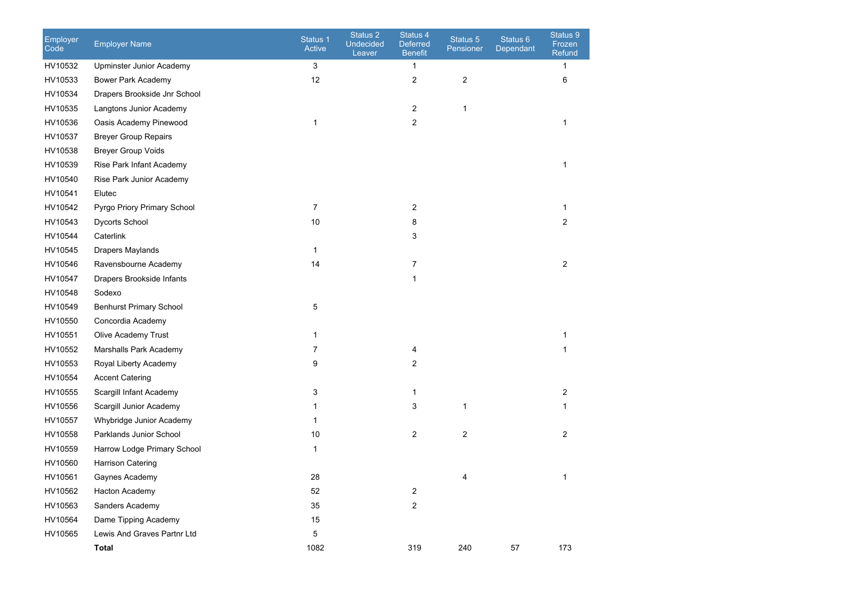| Employer<br>Code | <b>Employer Name</b>           | Status 1<br>Active | Status 2<br><b>Undecided</b><br>Leaver | Status 4<br><b>Deferred</b><br><b>Benefit</b> | Status 5<br>Pensioner   | Status 6<br>Dependant | Status 9<br>Frozen<br>Refund |
|------------------|--------------------------------|--------------------|----------------------------------------|-----------------------------------------------|-------------------------|-----------------------|------------------------------|
| HV10532          | Upminster Junior Academy       | 3                  |                                        | 1                                             |                         |                       | 1                            |
| HV10533          | Bower Park Academy             | 12                 |                                        | $\overline{\mathbf{c}}$                       | 2                       |                       | 6                            |
| HV10534          | Drapers Brookside Jnr School   |                    |                                        |                                               |                         |                       |                              |
| HV10535          | Langtons Junior Academy        |                    |                                        | $\overline{c}$                                | $\mathbf{1}$            |                       |                              |
| HV10536          | Oasis Academy Pinewood         | 1                  |                                        | $\overline{2}$                                |                         |                       | 1                            |
| HV10537          | <b>Breyer Group Repairs</b>    |                    |                                        |                                               |                         |                       |                              |
| HV10538          | <b>Breyer Group Voids</b>      |                    |                                        |                                               |                         |                       |                              |
| HV10539          | Rise Park Infant Academy       |                    |                                        |                                               |                         |                       | 1                            |
| HV10540          | Rise Park Junior Academy       |                    |                                        |                                               |                         |                       |                              |
| HV10541          | Elutec                         |                    |                                        |                                               |                         |                       |                              |
| HV10542          | Pyrgo Priory Primary School    | 7                  |                                        | 2                                             |                         |                       | 1                            |
| HV10543          | Dycorts School                 | $10$               |                                        | 8                                             |                         |                       | 2                            |
| HV10544          | Caterlink                      |                    |                                        | 3                                             |                         |                       |                              |
| HV10545          | Drapers Maylands               | 1                  |                                        |                                               |                         |                       |                              |
| HV10546          | Ravensbourne Academy           | 14                 |                                        | 7                                             |                         |                       | 2                            |
| HV10547          | Drapers Brookside Infants      |                    |                                        | 1                                             |                         |                       |                              |
| HV10548          | Sodexo                         |                    |                                        |                                               |                         |                       |                              |
| HV10549          | <b>Benhurst Primary School</b> | 5                  |                                        |                                               |                         |                       |                              |
| HV10550          | Concordia Academy              |                    |                                        |                                               |                         |                       |                              |
| HV10551          | Olive Academy Trust            | 1                  |                                        |                                               |                         |                       | 1                            |
| HV10552          | Marshalls Park Academy         | 7                  |                                        | 4                                             |                         |                       | 1                            |
| HV10553          | Royal Liberty Academy          | 9                  |                                        | $\overline{c}$                                |                         |                       |                              |
| HV10554          | <b>Accent Catering</b>         |                    |                                        |                                               |                         |                       |                              |
| HV10555          | Scargill Infant Academy        | 3                  |                                        | 1                                             |                         |                       | $\overline{c}$               |
| HV10556          | Scargill Junior Academy        | 1                  |                                        | 3                                             | 1                       |                       | 1                            |
| HV10557          | Whybridge Junior Academy       | 1                  |                                        |                                               |                         |                       |                              |
| HV10558          | Parklands Junior School        | 10                 |                                        | 2                                             | $\overline{\mathbf{c}}$ |                       | 2                            |
| HV10559          | Harrow Lodge Primary School    | 1                  |                                        |                                               |                         |                       |                              |
| HV10560          | <b>Harrison Catering</b>       |                    |                                        |                                               |                         |                       |                              |
| HV10561          | Gaynes Academy                 | 28                 |                                        |                                               |                         |                       |                              |
| HV10562          | Hacton Academy                 | 52                 |                                        | $\overline{c}$                                |                         |                       |                              |
| HV10563          | Sanders Academy                | 35                 |                                        | $\overline{2}$                                |                         |                       |                              |
| HV10564          | Dame Tipping Academy           | 15                 |                                        |                                               |                         |                       |                              |
| HV10565          | Lewis And Graves Partnr Ltd    | 5                  |                                        |                                               |                         |                       |                              |
|                  | Total                          | 1082               |                                        | 319                                           | 240                     | 57                    | 173                          |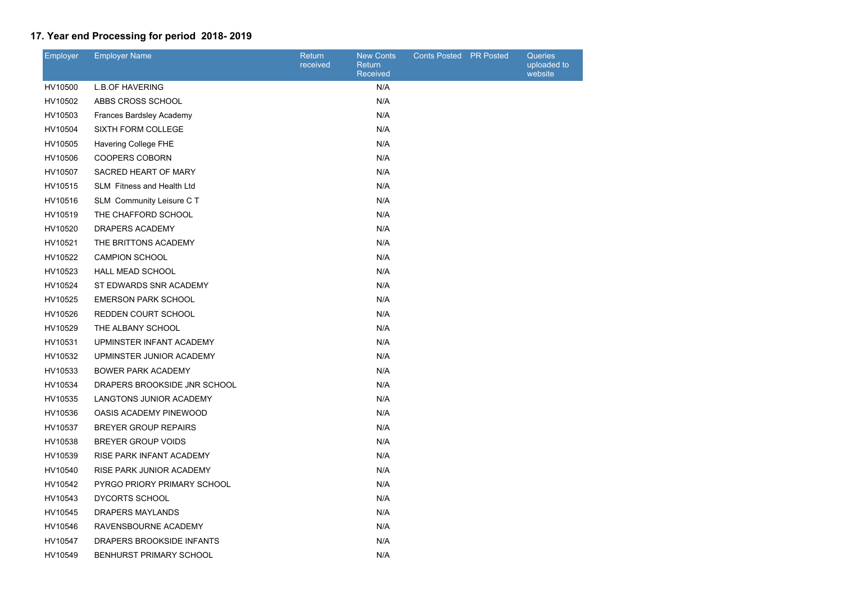# **17. Year end Processing for period 2018- 2019**

| Employer | <b>Employer Name</b>           | <b>Return</b><br>received | <b>New Conts</b><br>Return<br>Received | Conts Posted PR Posted | <b>Queries</b><br>uploaded t<br>website |
|----------|--------------------------------|---------------------------|----------------------------------------|------------------------|-----------------------------------------|
| HV10500  | <b>L.B.OF HAVERING</b>         |                           | N/A                                    |                        |                                         |
| HV10502  | ABBS CROSS SCHOOL              |                           | N/A                                    |                        |                                         |
| HV10503  | Frances Bardsley Academy       |                           | N/A                                    |                        |                                         |
| HV10504  | SIXTH FORM COLLEGE             |                           | N/A                                    |                        |                                         |
| HV10505  | Havering College FHE           |                           | N/A                                    |                        |                                         |
| HV10506  | <b>COOPERS COBORN</b>          |                           | N/A                                    |                        |                                         |
| HV10507  | SACRED HEART OF MARY           |                           | N/A                                    |                        |                                         |
| HV10515  | SLM Fitness and Health Ltd     |                           | N/A                                    |                        |                                         |
| HV10516  | SLM Community Leisure C T      |                           | N/A                                    |                        |                                         |
| HV10519  | THE CHAFFORD SCHOOL            |                           | N/A                                    |                        |                                         |
| HV10520  | DRAPERS ACADEMY                |                           | N/A                                    |                        |                                         |
| HV10521  | THE BRITTONS ACADEMY           |                           | N/A                                    |                        |                                         |
| HV10522  | <b>CAMPION SCHOOL</b>          |                           | N/A                                    |                        |                                         |
| HV10523  | <b>HALL MEAD SCHOOL</b>        |                           | N/A                                    |                        |                                         |
| HV10524  | ST EDWARDS SNR ACADEMY         |                           | N/A                                    |                        |                                         |
| HV10525  | <b>EMERSON PARK SCHOOL</b>     |                           | N/A                                    |                        |                                         |
| HV10526  | <b>REDDEN COURT SCHOOL</b>     |                           | N/A                                    |                        |                                         |
| HV10529  | THE ALBANY SCHOOL              |                           | N/A                                    |                        |                                         |
| HV10531  | UPMINSTER INFANT ACADEMY       |                           | N/A                                    |                        |                                         |
| HV10532  | UPMINSTER JUNIOR ACADEMY       |                           | N/A                                    |                        |                                         |
| HV10533  | <b>BOWER PARK ACADEMY</b>      |                           | N/A                                    |                        |                                         |
| HV10534  | DRAPERS BROOKSIDE JNR SCHOOL   |                           | N/A                                    |                        |                                         |
| HV10535  | <b>LANGTONS JUNIOR ACADEMY</b> |                           | N/A                                    |                        |                                         |
| HV10536  | OASIS ACADEMY PINEWOOD         |                           | N/A                                    |                        |                                         |
| HV10537  | <b>BREYER GROUP REPAIRS</b>    |                           | N/A                                    |                        |                                         |
| HV10538  | <b>BREYER GROUP VOIDS</b>      |                           | N/A                                    |                        |                                         |
| HV10539  | RISE PARK INFANT ACADEMY       |                           | N/A                                    |                        |                                         |
| HV10540  | RISE PARK JUNIOR ACADEMY       |                           | N/A                                    |                        |                                         |
| HV10542  | PYRGO PRIORY PRIMARY SCHOOL    |                           | N/A                                    |                        |                                         |
| HV10543  | DYCORTS SCHOOL                 |                           | N/A                                    |                        |                                         |
| HV10545  | DRAPERS MAYLANDS               |                           | N/A                                    |                        |                                         |
| HV10546  | RAVENSBOURNE ACADEMY           |                           | N/A                                    |                        |                                         |
| HV10547  | DRAPERS BROOKSIDE INFANTS      |                           | N/A                                    |                        |                                         |
| HV10549  | BENHURST PRIMARY SCHOOL        |                           | N/A                                    |                        |                                         |